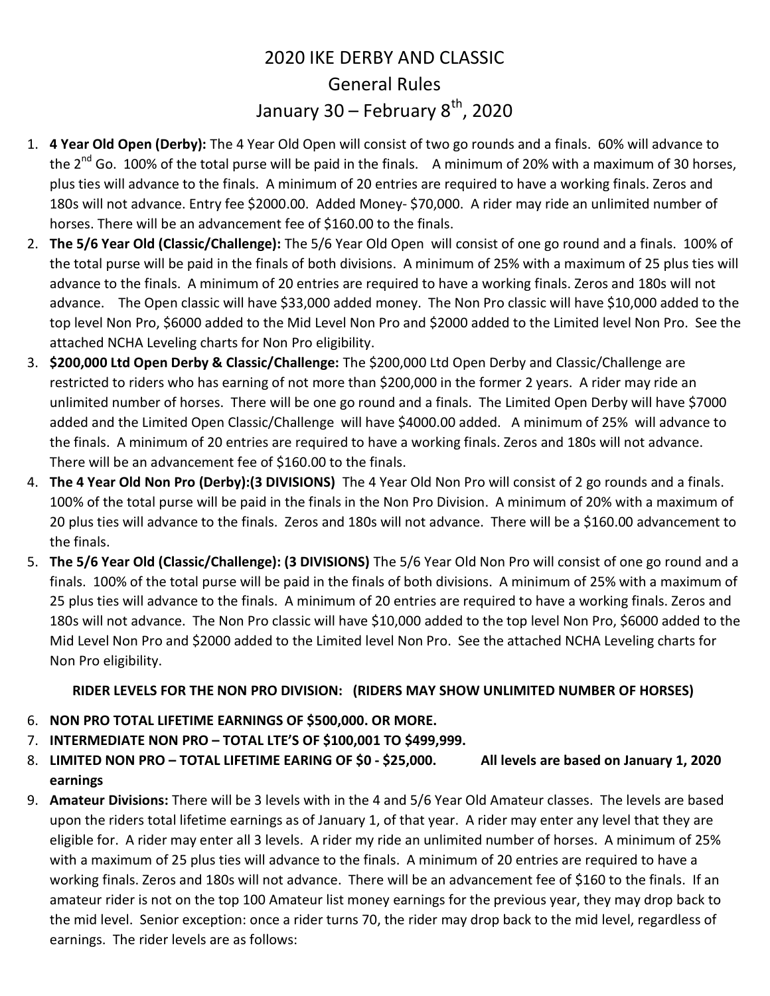## 2020 IKE DERBY AND CLASSIC General Rules January 30 – February  $8^{th}$ , 2020

- 1. 4 Year Old Open (Derby): The 4 Year Old Open will consist of two go rounds and a finals. 60% will advance to the  $2^{nd}$  Go. 100% of the total purse will be paid in the finals. A minimum of 20% with a maximum of 30 horses, plus ties will advance to the finals. A minimum of 20 entries are required to have a working finals. Zeros and 180s will not advance. Entry fee \$2000.00. Added Money- \$70,000. A rider may ride an unlimited number of horses. There will be an advancement fee of \$160.00 to the finals.
- 2. The 5/6 Year Old (Classic/Challenge): The 5/6 Year Old Open will consist of one go round and a finals. 100% of the total purse will be paid in the finals of both divisions. A minimum of 25% with a maximum of 25 plus ties will advance to the finals. A minimum of 20 entries are required to have a working finals. Zeros and 180s will not advance. The Open classic will have \$33,000 added money. The Non Pro classic will have \$10,000 added to the top level Non Pro, \$6000 added to the Mid Level Non Pro and \$2000 added to the Limited level Non Pro. See the attached NCHA Leveling charts for Non Pro eligibility.
- 3. \$200,000 Ltd Open Derby & Classic/Challenge: The \$200,000 Ltd Open Derby and Classic/Challenge are restricted to riders who has earning of not more than \$200,000 in the former 2 years. A rider may ride an unlimited number of horses. There will be one go round and a finals. The Limited Open Derby will have \$7000 added and the Limited Open Classic/Challenge will have \$4000.00 added. A minimum of 25% will advance to the finals. A minimum of 20 entries are required to have a working finals. Zeros and 180s will not advance. There will be an advancement fee of \$160.00 to the finals.
- 4. The 4 Year Old Non Pro (Derby):(3 DIVISIONS) The 4 Year Old Non Pro will consist of 2 go rounds and a finals. 100% of the total purse will be paid in the finals in the Non Pro Division. A minimum of 20% with a maximum of 20 plus ties will advance to the finals. Zeros and 180s will not advance. There will be a \$160.00 advancement to the finals.
- 5. The 5/6 Year Old (Classic/Challenge): (3 DIVISIONS) The 5/6 Year Old Non Pro will consist of one go round and a finals. 100% of the total purse will be paid in the finals of both divisions. A minimum of 25% with a maximum of 25 plus ties will advance to the finals. A minimum of 20 entries are required to have a working finals. Zeros and 180s will not advance. The Non Pro classic will have \$10,000 added to the top level Non Pro, \$6000 added to the Mid Level Non Pro and \$2000 added to the Limited level Non Pro. See the attached NCHA Leveling charts for Non Pro eligibility.

## RIDER LEVELS FOR THE NON PRO DIVISION: (RIDERS MAY SHOW UNLIMITED NUMBER OF HORSES)

- 6. NON PRO TOTAL LIFETIME EARNINGS OF \$500,000. OR MORE.
- 7. INTERMEDIATE NON PRO TOTAL LTE'S OF \$100,001 TO \$499,999.
- 8. LIMITED NON PRO TOTAL LIFETIME EARING OF \$0 \$25,000. All levels are based on January 1, 2020 earnings
- 9. Amateur Divisions: There will be 3 levels with in the 4 and 5/6 Year Old Amateur classes. The levels are based upon the riders total lifetime earnings as of January 1, of that year. A rider may enter any level that they are eligible for. A rider may enter all 3 levels. A rider my ride an unlimited number of horses. A minimum of 25% with a maximum of 25 plus ties will advance to the finals. A minimum of 20 entries are required to have a working finals. Zeros and 180s will not advance. There will be an advancement fee of \$160 to the finals. If an amateur rider is not on the top 100 Amateur list money earnings for the previous year, they may drop back to the mid level. Senior exception: once a rider turns 70, the rider may drop back to the mid level, regardless of earnings. The rider levels are as follows: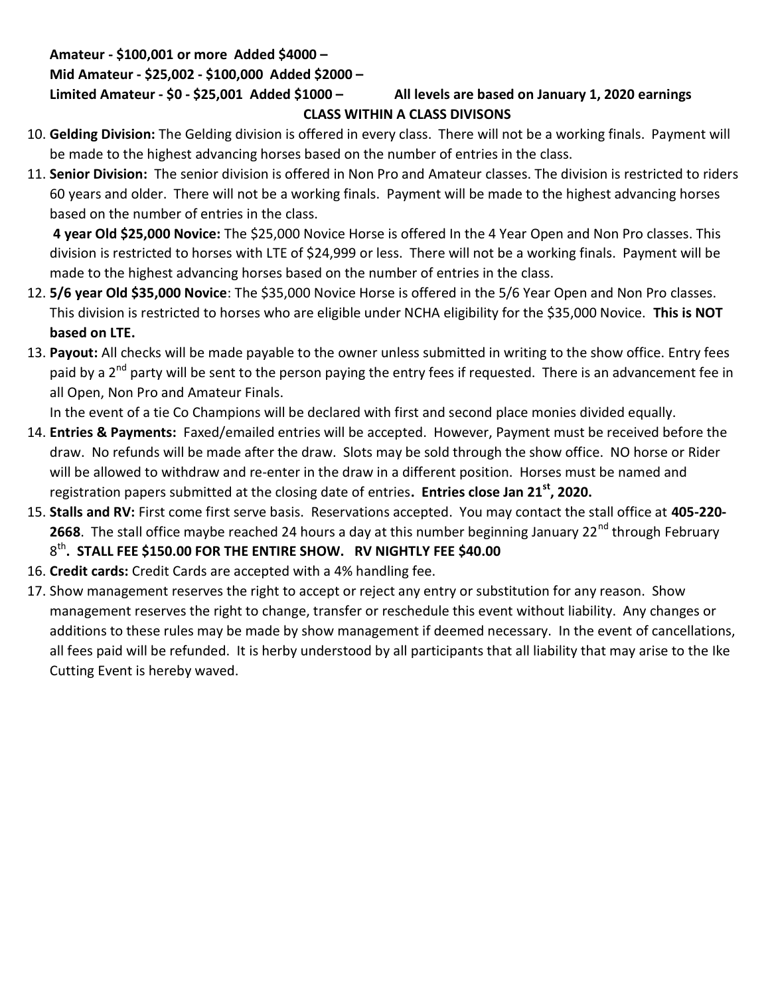### Amateur - \$100,001 or more Added \$4000 –

## Mid Amateur - \$25,002 - \$100,000 Added \$2000 –

## Limited Amateur - \$0 - \$25,001 Added \$1000 - All levels are based on January 1, 2020 earnings

# CLASS WITHIN A CLASS DIVISONS

- 10. Gelding Division: The Gelding division is offered in every class. There will not be a working finals. Payment will be made to the highest advancing horses based on the number of entries in the class.
- 11. Senior Division: The senior division is offered in Non Pro and Amateur classes. The division is restricted to riders 60 years and older. There will not be a working finals. Payment will be made to the highest advancing horses based on the number of entries in the class.

4 year Old \$25,000 Novice: The \$25,000 Novice Horse is offered In the 4 Year Open and Non Pro classes. This division is restricted to horses with LTE of \$24,999 or less. There will not be a working finals. Payment will be made to the highest advancing horses based on the number of entries in the class.

- 12. 5/6 year Old \$35,000 Novice: The \$35,000 Novice Horse is offered in the 5/6 Year Open and Non Pro classes. This division is restricted to horses who are eligible under NCHA eligibility for the \$35,000 Novice. This is NOT based on LTE.
- 13. Payout: All checks will be made payable to the owner unless submitted in writing to the show office. Entry fees paid by a 2<sup>nd</sup> party will be sent to the person paying the entry fees if requested. There is an advancement fee in all Open, Non Pro and Amateur Finals.

In the event of a tie Co Champions will be declared with first and second place monies divided equally.

- 14. Entries & Payments: Faxed/emailed entries will be accepted. However, Payment must be received before the draw. No refunds will be made after the draw. Slots may be sold through the show office. NO horse or Rider will be allowed to withdraw and re-enter in the draw in a different position. Horses must be named and registration papers submitted at the closing date of entries. Entries close Jan  $21^{st}$ , 2020.
- 15. Stalls and RV: First come first serve basis. Reservations accepted. You may contact the stall office at 405-220-2668. The stall office maybe reached 24 hours a day at this number beginning January 22<sup>nd</sup> through February  $8^{\text{th}}$ . STALL FEE \$150.00 FOR THE ENTIRE SHOW. RV NIGHTLY FEE \$40.00
- 16. Credit cards: Credit Cards are accepted with a 4% handling fee.
- 17. Show management reserves the right to accept or reject any entry or substitution for any reason. Show management reserves the right to change, transfer or reschedule this event without liability. Any changes or additions to these rules may be made by show management if deemed necessary. In the event of cancellations, all fees paid will be refunded. It is herby understood by all participants that all liability that may arise to the Ike Cutting Event is hereby waved.